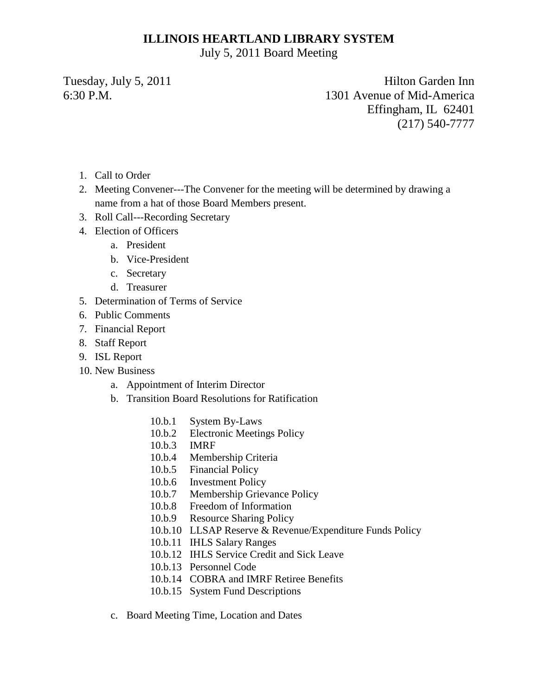#### **ILLINOIS HEARTLAND LIBRARY SYSTEM**

July 5, 2011 Board Meeting

Tuesday, July 5, 2011 Hilton Garden Inn 6:30 P.M. 1301 Avenue of Mid-America Effingham, IL 62401 (217) 540-7777

- 1. Call to Order
- 2. Meeting Convener---The Convener for the meeting will be determined by drawing a name from a hat of those Board Members present.
- 3. Roll Call---Recording Secretary
- 4. Election of Officers
	- a. President
	- b. Vice-President
	- c. Secretary
	- d. Treasurer
- 5. Determination of Terms of Service
- 6. Public Comments
- 7. Financial Report
- 8. Staff Report
- 9. ISL Report
- 10. New Business
	- a. Appointment of Interim Director
	- b. Transition Board Resolutions for Ratification
		- 10.b.1 System By-Laws
		- 10.b.2 Electronic Meetings Policy
		- 10.b.3 IMRF
		- 10.b.4 Membership Criteria
		- 10.b.5 Financial Policy
		- 10.b.6 Investment Policy
		- 10.b.7 Membership Grievance Policy
		- 10.b.8 Freedom of Information
		- 10.b.9 Resource Sharing Policy
		- 10.b.10 LLSAP Reserve & Revenue/Expenditure Funds Policy
		- 10.b.11 IHLS Salary Ranges
		- 10.b.12 IHLS Service Credit and Sick Leave
		- 10.b.13 Personnel Code
		- 10.b.14 COBRA and IMRF Retiree Benefits
		- 10.b.15 System Fund Descriptions
	- c. Board Meeting Time, Location and Dates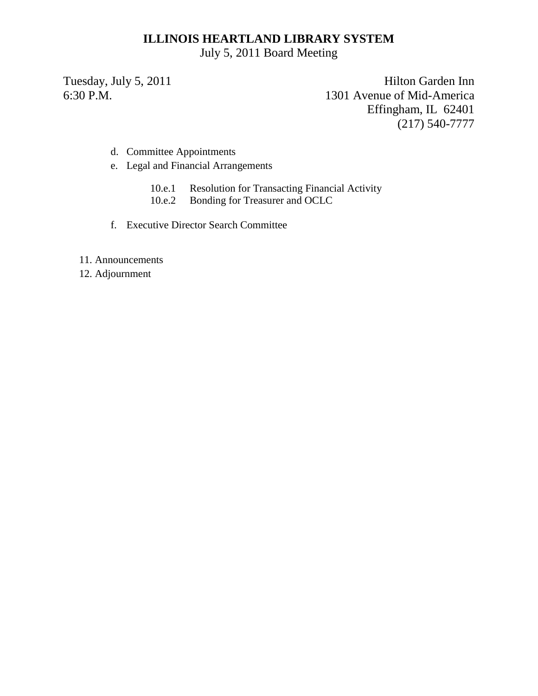#### **ILLINOIS HEARTLAND LIBRARY SYSTEM**

July 5, 2011 Board Meeting

Tuesday, July 5, 2011 Hilton Garden Inn 6:30 P.M. 1301 Avenue of Mid-America Effingham, IL 62401 (217) 540-7777

- d. Committee Appointments
- e. Legal and Financial Arrangements
	- 10.e.1 Resolution for Transacting Financial Activity
	- 10.e.2 Bonding for Treasurer and OCLC
- f. Executive Director Search Committee
- 11. Announcements
- 12. Adjournment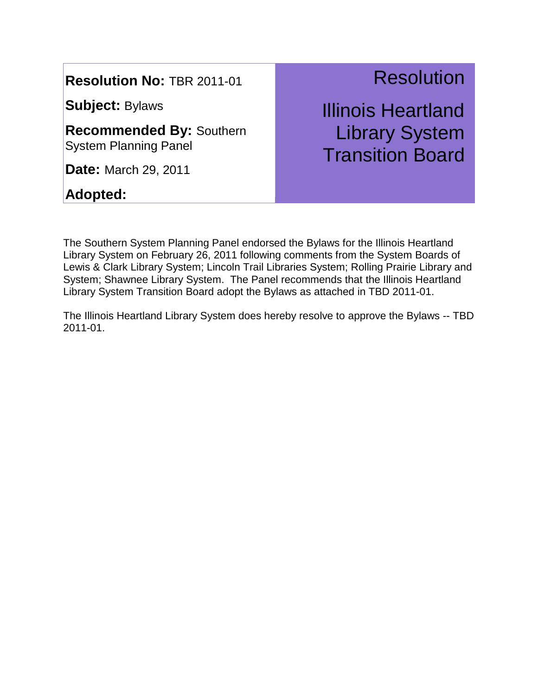**Subject:** Bylaws

**Recommended By:** Southern System Planning Panel

**Date:** March 29, 2011

**Adopted:** 

### **Resolution**

Illinois Heartland Library System Transition Board

The Southern System Planning Panel endorsed the Bylaws for the Illinois Heartland Library System on February 26, 2011 following comments from the System Boards of Lewis & Clark Library System; Lincoln Trail Libraries System; Rolling Prairie Library and System; Shawnee Library System. The Panel recommends that the Illinois Heartland Library System Transition Board adopt the Bylaws as attached in TBD 2011-01.

The Illinois Heartland Library System does hereby resolve to approve the Bylaws -- TBD 2011-01.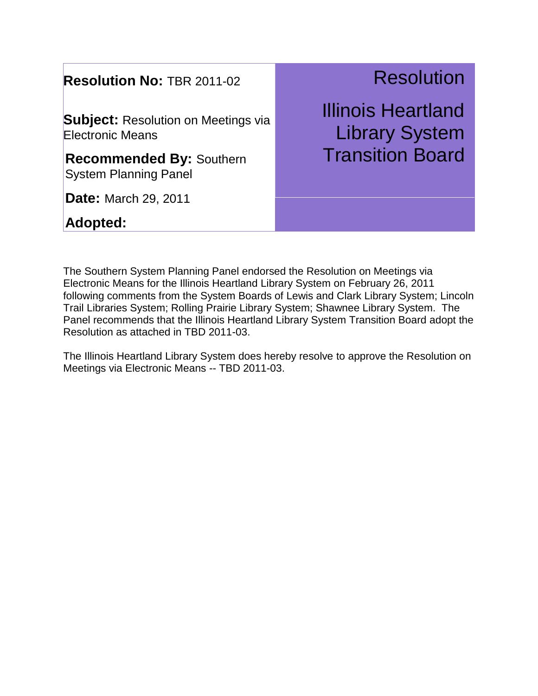**Subject:** Resolution on Meetings via Electronic Means

**Recommended By:** Southern System Planning Panel

**Date:** March 29, 2011

### **Adopted:**

# **Resolution**

Illinois Heartland Library System Transition Board

The Southern System Planning Panel endorsed the Resolution on Meetings via Electronic Means for the Illinois Heartland Library System on February 26, 2011 following comments from the System Boards of Lewis and Clark Library System; Lincoln Trail Libraries System; Rolling Prairie Library System; Shawnee Library System. The Panel recommends that the Illinois Heartland Library System Transition Board adopt the Resolution as attached in TBD 2011-03.

The Illinois Heartland Library System does hereby resolve to approve the Resolution on Meetings via Electronic Means -- TBD 2011-03.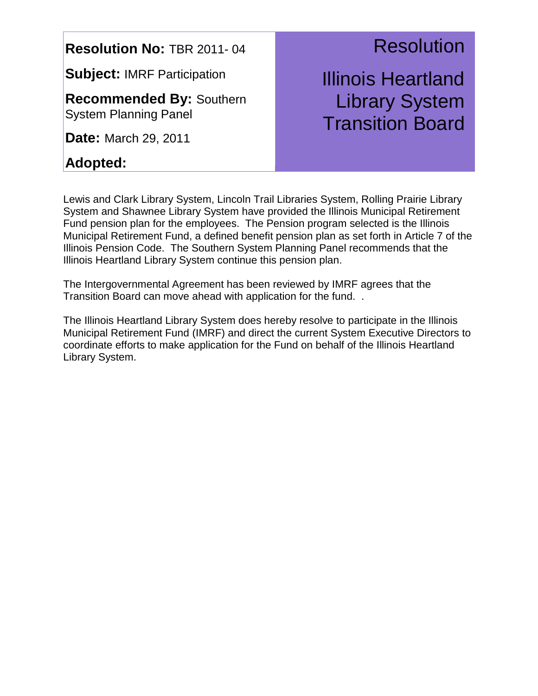**Subject:** IMRF Participation

**Recommended By:** Southern System Planning Panel

**Date:** March 29, 2011

### **Adopted:**

### **Resolution**

Illinois Heartland Library System Transition Board

Lewis and Clark Library System, Lincoln Trail Libraries System, Rolling Prairie Library System and Shawnee Library System have provided the Illinois Municipal Retirement Fund pension plan for the employees. The Pension program selected is the Illinois Municipal Retirement Fund, a defined benefit pension plan as set forth in Article 7 of the Illinois Pension Code. The Southern System Planning Panel recommends that the Illinois Heartland Library System continue this pension plan.

The Intergovernmental Agreement has been reviewed by IMRF agrees that the Transition Board can move ahead with application for the fund. .

The Illinois Heartland Library System does hereby resolve to participate in the Illinois Municipal Retirement Fund (IMRF) and direct the current System Executive Directors to coordinate efforts to make application for the Fund on behalf of the Illinois Heartland Library System.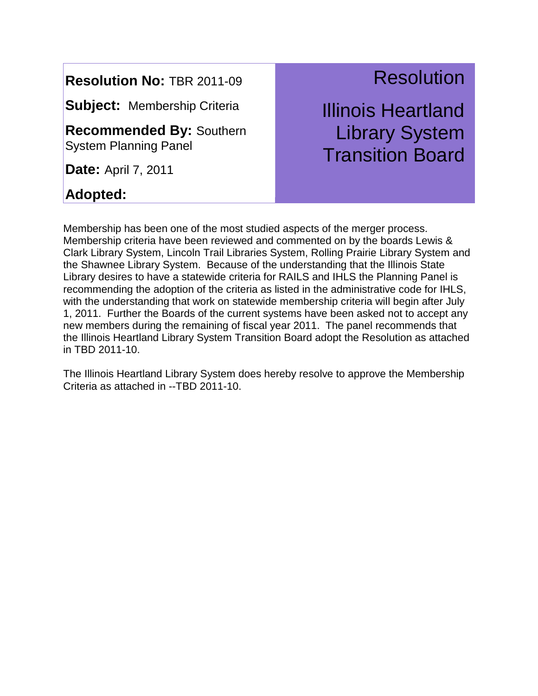**Subject:** Membership Criteria

**Recommended By:** Southern System Planning Panel

**Date:** April 7, 2011

#### **Adopted:**

## **Resolution**

Illinois Heartland Library System Transition Board

Membership has been one of the most studied aspects of the merger process. Membership criteria have been reviewed and commented on by the boards Lewis & Clark Library System, Lincoln Trail Libraries System, Rolling Prairie Library System and the Shawnee Library System. Because of the understanding that the Illinois State Library desires to have a statewide criteria for RAILS and IHLS the Planning Panel is recommending the adoption of the criteria as listed in the administrative code for IHLS, with the understanding that work on statewide membership criteria will begin after July 1, 2011. Further the Boards of the current systems have been asked not to accept any new members during the remaining of fiscal year 2011. The panel recommends that the Illinois Heartland Library System Transition Board adopt the Resolution as attached in TBD 2011-10.

The Illinois Heartland Library System does hereby resolve to approve the Membership Criteria as attached in --TBD 2011-10.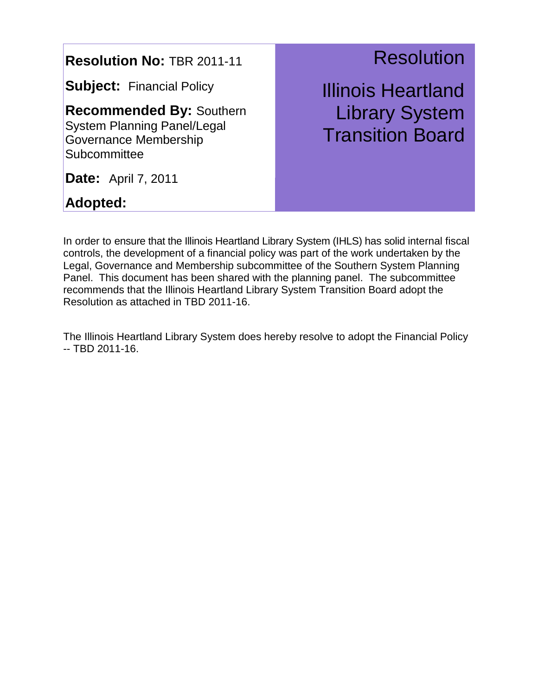**Subject:** Financial Policy

**Recommended By:** Southern System Planning Panel/Legal Governance Membership **Subcommittee** 

**Date:** April 7, 2011

**Adopted:** 

### **Resolution**

Illinois Heartland Library System Transition Board

In order to ensure that the Illinois Heartland Library System (IHLS) has solid internal fiscal controls, the development of a financial policy was part of the work undertaken by the Legal, Governance and Membership subcommittee of the Southern System Planning Panel. This document has been shared with the planning panel. The subcommittee recommends that the Illinois Heartland Library System Transition Board adopt the Resolution as attached in TBD 2011-16.

The Illinois Heartland Library System does hereby resolve to adopt the Financial Policy -- TBD 2011-16.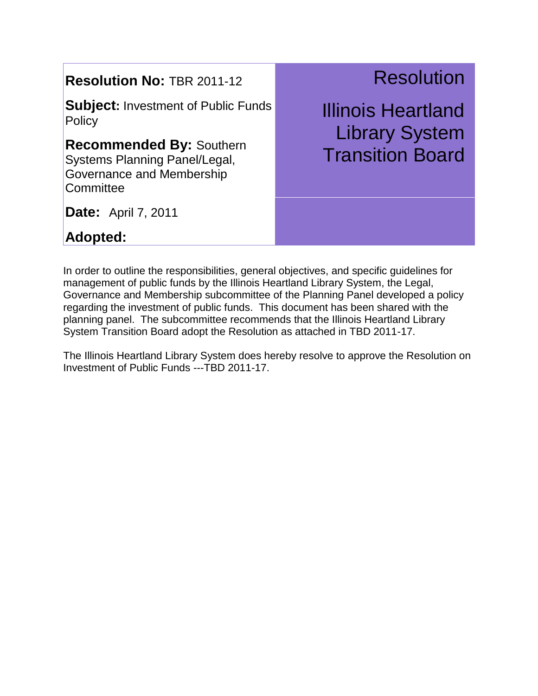**Subject:** Investment of Public Funds **Policy** 

**Recommended By:** Southern Systems Planning Panel/Legal, Governance and Membership **Committee** 

**Resolution** 

Illinois Heartland Library System Transition Board

**Date:** April 7, 2011

**Adopted:** 

In order to outline the responsibilities, general objectives, and specific guidelines for management of public funds by the Illinois Heartland Library System, the Legal, Governance and Membership subcommittee of the Planning Panel developed a policy regarding the investment of public funds. This document has been shared with the planning panel. The subcommittee recommends that the Illinois Heartland Library System Transition Board adopt the Resolution as attached in TBD 2011-17.

The Illinois Heartland Library System does hereby resolve to approve the Resolution on Investment of Public Funds ---TBD 2011-17.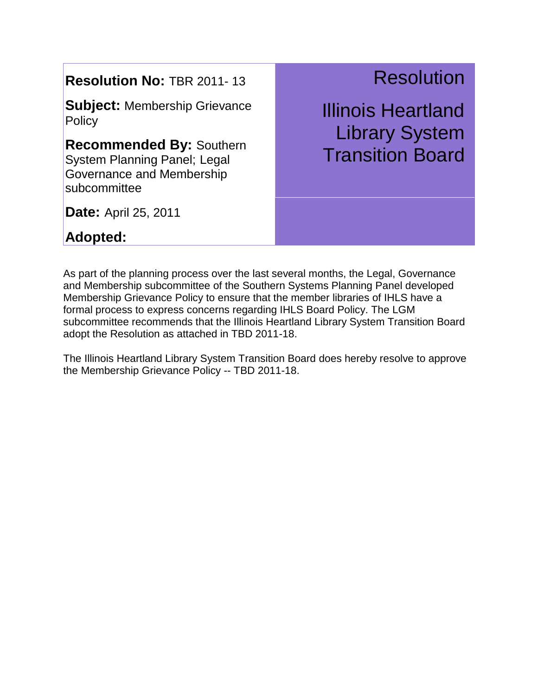**Subject:** Membership Grievance **Policy** 

**Recommended By:** Southern System Planning Panel; Legal Governance and Membership subcommittee

## Resolution

Illinois Heartland Library System Transition Board

**Date:** April 25, 2011

**Adopted:** 

As part of the planning process over the last several months, the Legal, Governance and Membership subcommittee of the Southern Systems Planning Panel developed Membership Grievance Policy to ensure that the member libraries of IHLS have a formal process to express concerns regarding IHLS Board Policy. The LGM subcommittee recommends that the Illinois Heartland Library System Transition Board adopt the Resolution as attached in TBD 2011-18.

The Illinois Heartland Library System Transition Board does hereby resolve to approve the Membership Grievance Policy -- TBD 2011-18.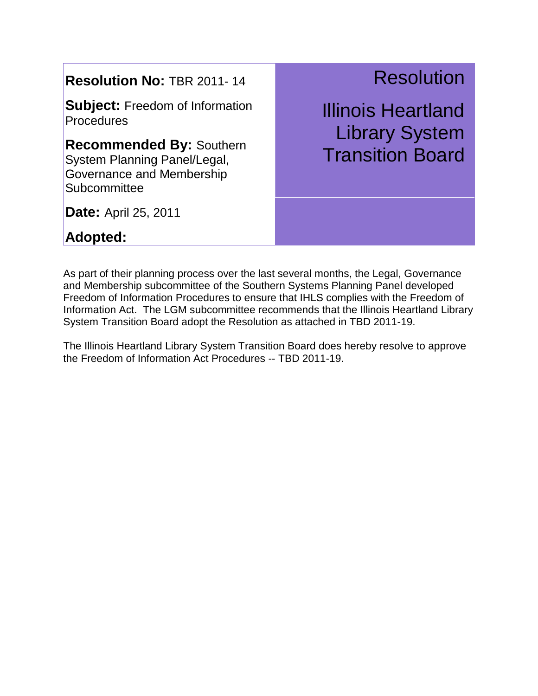**Subject:** Freedom of Information **Procedures** 

**Recommended By:** Southern System Planning Panel/Legal, Governance and Membership **Subcommittee** 

**Resolution** 

Illinois Heartland Library System Transition Board

**Date:** April 25, 2011

**Adopted:** 

As part of their planning process over the last several months, the Legal, Governance and Membership subcommittee of the Southern Systems Planning Panel developed Freedom of Information Procedures to ensure that IHLS complies with the Freedom of Information Act. The LGM subcommittee recommends that the Illinois Heartland Library System Transition Board adopt the Resolution as attached in TBD 2011-19.

The Illinois Heartland Library System Transition Board does hereby resolve to approve the Freedom of Information Act Procedures -- TBD 2011-19.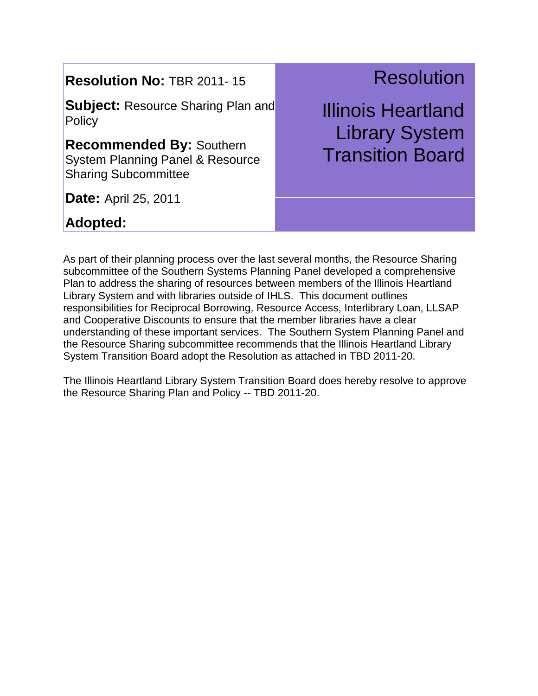**Subject:** Resource Sharing Plan and **Policy** 

**Recommended By:** Southern System Planning Panel & Resource Sharing Subcommittee

**Date:** April 25, 2011

### **Adopted:**

Resolution

Illinois Heartland Library System Transition Board

As part of their planning process over the last several months, the Resource Sharing subcommittee of the Southern Systems Planning Panel developed a comprehensive Plan to address the sharing of resources between members of the Illinois Heartland Library System and with libraries outside of IHLS. This document outlines responsibilities for Reciprocal Borrowing, Resource Access, Interlibrary Loan, LLSAP and Cooperative Discounts to ensure that the member libraries have a clear understanding of these important services. The Southern System Planning Panel and the Resource Sharing subcommittee recommends that the Illinois Heartland Library System Transition Board adopt the Resolution as attached in TBD 2011-20.

The Illinois Heartland Library System Transition Board does hereby resolve to approve the Resource Sharing Plan and Policy -- TBD 2011-20.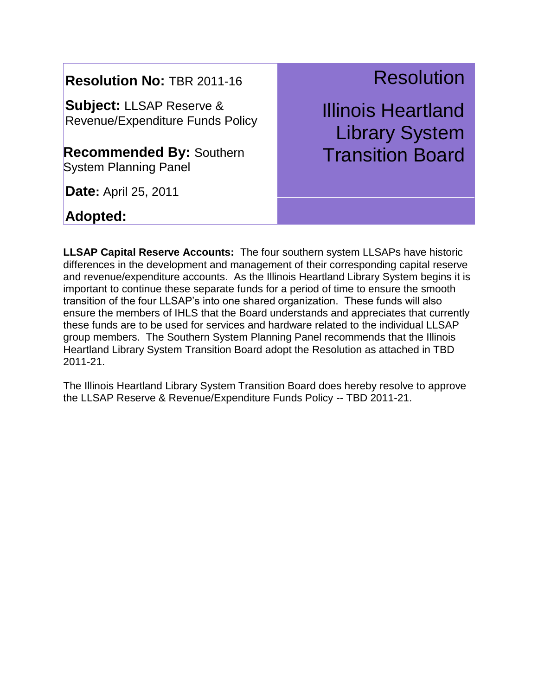**Subject:** LLSAP Reserve & Revenue/Expenditure Funds Policy

**Recommended By:** Southern System Planning Panel

**Date:** April 25, 2011

#### **Adopted:**

# Resolution

Illinois Heartland Library System Transition Board

**LLSAP Capital Reserve Accounts:** The four southern system LLSAPs have historic differences in the development and management of their corresponding capital reserve and revenue/expenditure accounts. As the Illinois Heartland Library System begins it is important to continue these separate funds for a period of time to ensure the smooth transition of the four LLSAP's into one shared organization. These funds will also ensure the members of IHLS that the Board understands and appreciates that currently these funds are to be used for services and hardware related to the individual LLSAP group members. The Southern System Planning Panel recommends that the Illinois Heartland Library System Transition Board adopt the Resolution as attached in TBD 2011-21.

The Illinois Heartland Library System Transition Board does hereby resolve to approve the LLSAP Reserve & Revenue/Expenditure Funds Policy -- TBD 2011-21.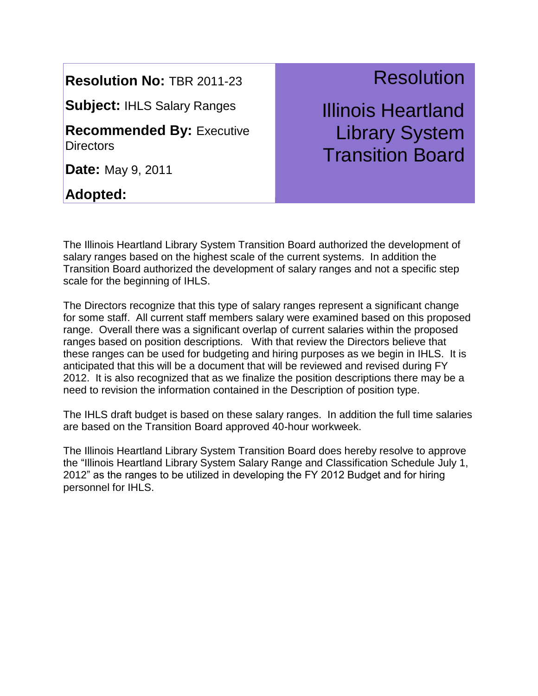**Subject:** IHLS Salary Ranges

**Recommended By:** Executive **Directors** 

**Date:** May 9, 2011

**Adopted:** 

## **Resolution**

Illinois Heartland Library System Transition Board

The Illinois Heartland Library System Transition Board authorized the development of salary ranges based on the highest scale of the current systems. In addition the Transition Board authorized the development of salary ranges and not a specific step scale for the beginning of IHLS.

The Directors recognize that this type of salary ranges represent a significant change for some staff. All current staff members salary were examined based on this proposed range. Overall there was a significant overlap of current salaries within the proposed ranges based on position descriptions. With that review the Directors believe that these ranges can be used for budgeting and hiring purposes as we begin in IHLS. It is anticipated that this will be a document that will be reviewed and revised during FY 2012. It is also recognized that as we finalize the position descriptions there may be a need to revision the information contained in the Description of position type.

The IHLS draft budget is based on these salary ranges. In addition the full time salaries are based on the Transition Board approved 40-hour workweek.

The Illinois Heartland Library System Transition Board does hereby resolve to approve the "Illinois Heartland Library System Salary Range and Classification Schedule July 1, 2012" as the ranges to be utilized in developing the FY 2012 Budget and for hiring personnel for IHLS.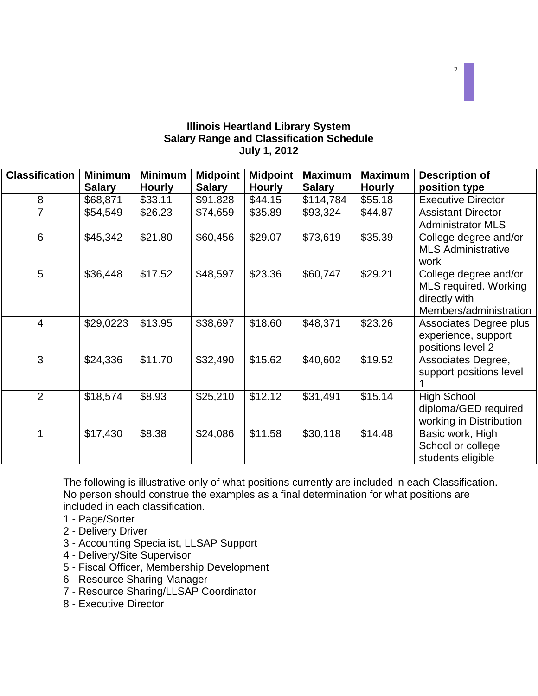#### **Illinois Heartland Library System Salary Range and Classification Schedule July 1, 2012**

| <b>Classification</b> | <b>Minimum</b> | <b>Minimum</b> | <b>Midpoint</b> | <b>Midpoint</b> | <b>Maximum</b> | <b>Maximum</b> | <b>Description of</b>       |
|-----------------------|----------------|----------------|-----------------|-----------------|----------------|----------------|-----------------------------|
|                       | <b>Salary</b>  | <b>Hourly</b>  | <b>Salary</b>   | <b>Hourly</b>   | <b>Salary</b>  | <b>Hourly</b>  | position type               |
| 8                     | \$68,871       | \$33.11        | \$91.828        | \$44.15         | \$114,784      | \$55.18        | <b>Executive Director</b>   |
|                       | \$54,549       | \$26.23        | \$74,659        | \$35.89         | \$93,324       | \$44.87        | <b>Assistant Director -</b> |
|                       |                |                |                 |                 |                |                | <b>Administrator MLS</b>    |
| 6                     | \$45,342       | \$21.80        | \$60,456        | \$29.07         | \$73,619       | \$35.39        | College degree and/or       |
|                       |                |                |                 |                 |                |                | <b>MLS Administrative</b>   |
|                       |                |                |                 |                 |                |                | work                        |
| 5                     | \$36,448       | \$17.52        | \$48,597        | \$23.36         | \$60,747       | \$29.21        | College degree and/or       |
|                       |                |                |                 |                 |                |                | MLS required. Working       |
|                       |                |                |                 |                 |                |                | directly with               |
|                       |                |                |                 |                 |                |                | Members/administration      |
| $\overline{4}$        | \$29,0223      | \$13.95        | \$38,697        | \$18.60         | \$48,371       | \$23.26        | Associates Degree plus      |
|                       |                |                |                 |                 |                |                | experience, support         |
|                       |                |                |                 |                 |                |                | positions level 2           |
| 3                     | \$24,336       | \$11.70        | \$32,490        | \$15.62         | \$40,602       | \$19.52        | Associates Degree,          |
|                       |                |                |                 |                 |                |                | support positions level     |
|                       |                |                |                 |                 |                |                |                             |
| $\overline{2}$        | \$18,574       | \$8.93         | \$25,210        | \$12.12         | \$31,491       | \$15.14        | <b>High School</b>          |
|                       |                |                |                 |                 |                |                | diploma/GED required        |
|                       |                |                |                 |                 |                |                | working in Distribution     |
|                       | \$17,430       | \$8.38         | \$24,086        | \$11.58         | \$30,118       | \$14.48        | Basic work, High            |
|                       |                |                |                 |                 |                |                | School or college           |
|                       |                |                |                 |                 |                |                | students eligible           |

The following is illustrative only of what positions currently are included in each Classification. No person should construe the examples as a final determination for what positions are included in each classification.

- 1 Page/Sorter
- 2 Delivery Driver
- 3 Accounting Specialist, LLSAP Support
- 4 Delivery/Site Supervisor
- 5 Fiscal Officer, Membership Development
- 6 Resource Sharing Manager
- 7 Resource Sharing/LLSAP Coordinator
- 8 Executive Director

2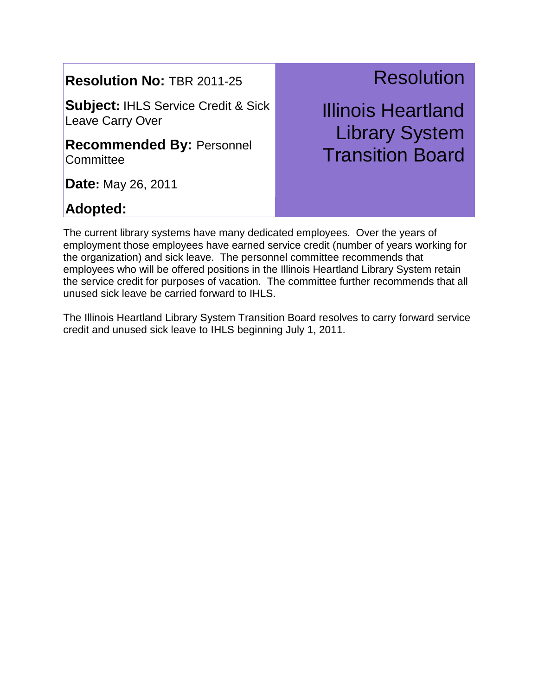**Subject:** IHLS Service Credit & Sick Leave Carry Over

**Recommended By:** Personnel **Committee** 

**Date:** May 26, 2011

### **Adopted:**

# **Resolution**

Illinois Heartland Library System Transition Board

The current library systems have many dedicated employees. Over the years of employment those employees have earned service credit (number of years working for the organization) and sick leave. The personnel committee recommends that employees who will be offered positions in the Illinois Heartland Library System retain the service credit for purposes of vacation. The committee further recommends that all unused sick leave be carried forward to IHLS.

The Illinois Heartland Library System Transition Board resolves to carry forward service credit and unused sick leave to IHLS beginning July 1, 2011.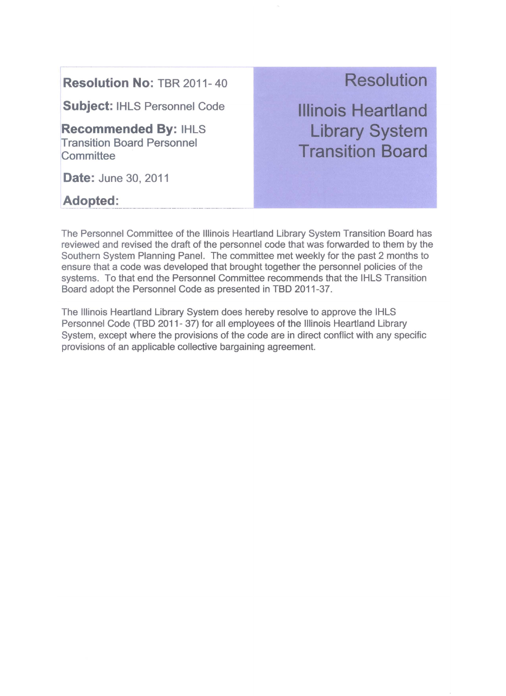**Subject: IHLS Personnel Code** 

**Recommended By: IHLS Transition Board Personnel** Committee

**Date: June 30, 2011** 

**Adopted:** 

### **Resolution**

**Illinois Heartland Library System Transition Board** 

The Personnel Committee of the Illinois Heartland Library System Transition Board has reviewed and revised the draft of the personnel code that was forwarded to them by the Southern System Planning Panel. The committee met weekly for the past 2 months to ensure that a code was developed that brought together the personnel policies of the systems. To that end the Personnel Committee recommends that the IHLS Transition Board adopt the Personnel Code as presented in TBD 2011-37.

The Illinois Heartland Library System does hereby resolve to approve the IHLS Personnel Code (TBD 2011-37) for all employees of the Illinois Heartland Library System, except where the provisions of the code are in direct conflict with any specific provisions of an applicable collective bargaining agreement.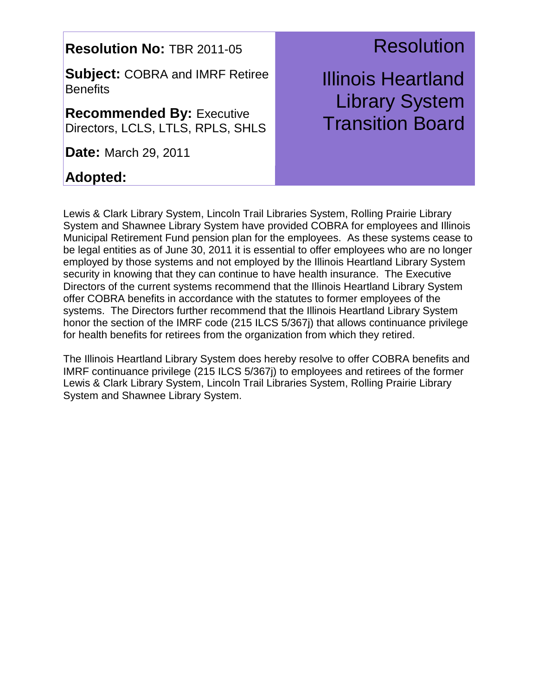**Subject:** COBRA and IMRF Retiree **Benefits** 

**Recommended By:** Executive Directors, LCLS, LTLS, RPLS, SHLS

**Date:** March 29, 2011

### **Adopted:**

### **Resolution**

Illinois Heartland Library System Transition Board

Lewis & Clark Library System, Lincoln Trail Libraries System, Rolling Prairie Library System and Shawnee Library System have provided COBRA for employees and Illinois Municipal Retirement Fund pension plan for the employees. As these systems cease to be legal entities as of June 30, 2011 it is essential to offer employees who are no longer employed by those systems and not employed by the Illinois Heartland Library System security in knowing that they can continue to have health insurance. The Executive Directors of the current systems recommend that the Illinois Heartland Library System offer COBRA benefits in accordance with the statutes to former employees of the systems. The Directors further recommend that the Illinois Heartland Library System honor the section of the IMRF code (215 ILCS 5/367j) that allows continuance privilege for health benefits for retirees from the organization from which they retired.

The Illinois Heartland Library System does hereby resolve to offer COBRA benefits and IMRF continuance privilege (215 ILCS 5/367j) to employees and retirees of the former Lewis & Clark Library System, Lincoln Trail Libraries System, Rolling Prairie Library System and Shawnee Library System.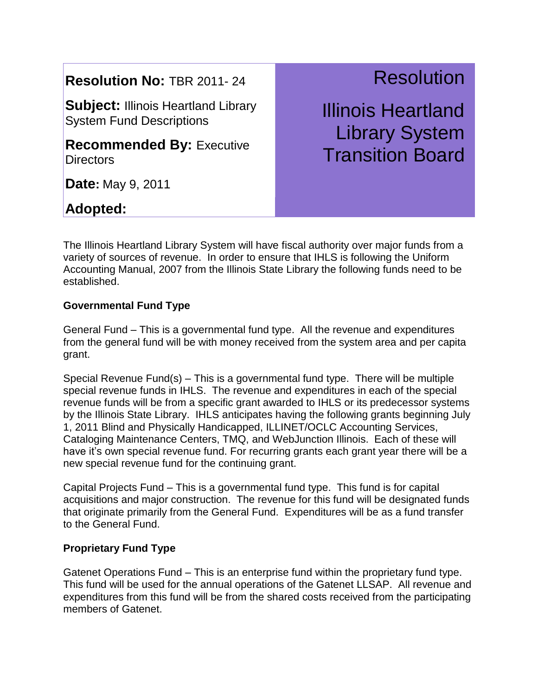**Subject: Illinois Heartland Library** System Fund Descriptions

**Recommended By:** Executive **Directors** 

**Date:** May 9, 2011

### **Adopted:**

**Resolution** 

Illinois Heartland Library System Transition Board

The Illinois Heartland Library System will have fiscal authority over major funds from a variety of sources of revenue. In order to ensure that IHLS is following the Uniform Accounting Manual, 2007 from the Illinois State Library the following funds need to be established.

#### **Governmental Fund Type**

General Fund – This is a governmental fund type. All the revenue and expenditures from the general fund will be with money received from the system area and per capita grant.

Special Revenue Fund(s) – This is a governmental fund type. There will be multiple special revenue funds in IHLS. The revenue and expenditures in each of the special revenue funds will be from a specific grant awarded to IHLS or its predecessor systems by the Illinois State Library. IHLS anticipates having the following grants beginning July 1, 2011 Blind and Physically Handicapped, ILLINET/OCLC Accounting Services, Cataloging Maintenance Centers, TMQ, and WebJunction Illinois. Each of these will have it's own special revenue fund. For recurring grants each grant year there will be a new special revenue fund for the continuing grant.

Capital Projects Fund – This is a governmental fund type. This fund is for capital acquisitions and major construction. The revenue for this fund will be designated funds that originate primarily from the General Fund. Expenditures will be as a fund transfer to the General Fund.

#### **Proprietary Fund Type**

Gatenet Operations Fund – This is an enterprise fund within the proprietary fund type. This fund will be used for the annual operations of the Gatenet LLSAP. All revenue and expenditures from this fund will be from the shared costs received from the participating members of Gatenet.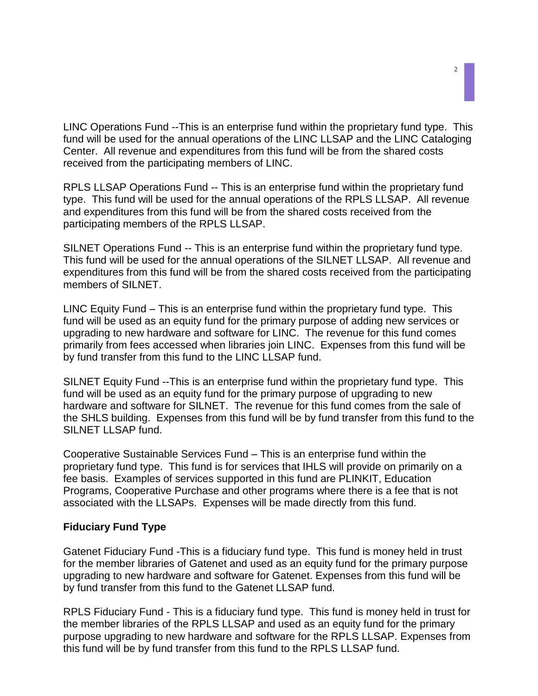LINC Operations Fund --This is an enterprise fund within the proprietary fund type. This fund will be used for the annual operations of the LINC LLSAP and the LINC Cataloging Center. All revenue and expenditures from this fund will be from the shared costs received from the participating members of LINC.

RPLS LLSAP Operations Fund -- This is an enterprise fund within the proprietary fund type. This fund will be used for the annual operations of the RPLS LLSAP. All revenue and expenditures from this fund will be from the shared costs received from the participating members of the RPLS LLSAP.

SILNET Operations Fund -- This is an enterprise fund within the proprietary fund type. This fund will be used for the annual operations of the SILNET LLSAP. All revenue and expenditures from this fund will be from the shared costs received from the participating members of SILNET.

LINC Equity Fund – This is an enterprise fund within the proprietary fund type. This fund will be used as an equity fund for the primary purpose of adding new services or upgrading to new hardware and software for LINC. The revenue for this fund comes primarily from fees accessed when libraries join LINC. Expenses from this fund will be by fund transfer from this fund to the LINC LLSAP fund.

SILNET Equity Fund --This is an enterprise fund within the proprietary fund type. This fund will be used as an equity fund for the primary purpose of upgrading to new hardware and software for SILNET. The revenue for this fund comes from the sale of the SHLS building. Expenses from this fund will be by fund transfer from this fund to the SILNET LLSAP fund.

Cooperative Sustainable Services Fund – This is an enterprise fund within the proprietary fund type. This fund is for services that IHLS will provide on primarily on a fee basis. Examples of services supported in this fund are PLINKIT, Education Programs, Cooperative Purchase and other programs where there is a fee that is not associated with the LLSAPs. Expenses will be made directly from this fund.

#### **Fiduciary Fund Type**

Gatenet Fiduciary Fund -This is a fiduciary fund type. This fund is money held in trust for the member libraries of Gatenet and used as an equity fund for the primary purpose upgrading to new hardware and software for Gatenet. Expenses from this fund will be by fund transfer from this fund to the Gatenet LLSAP fund.

RPLS Fiduciary Fund - This is a fiduciary fund type. This fund is money held in trust for the member libraries of the RPLS LLSAP and used as an equity fund for the primary purpose upgrading to new hardware and software for the RPLS LLSAP. Expenses from this fund will be by fund transfer from this fund to the RPLS LLSAP fund.